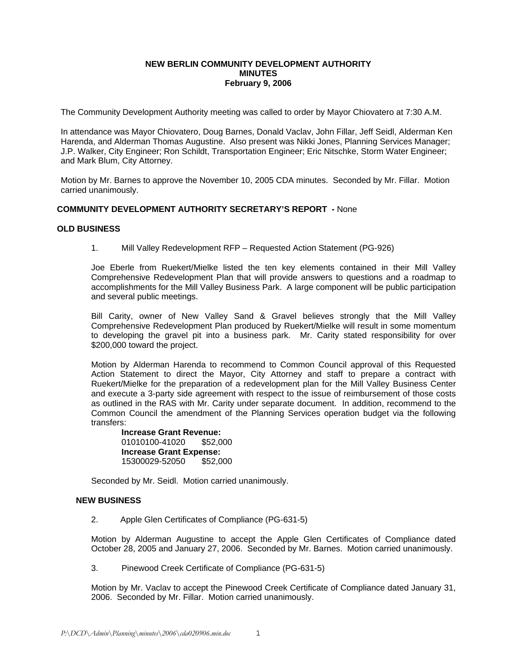## **NEW BERLIN COMMUNITY DEVELOPMENT AUTHORITY MINUTES February 9, 2006**

The Community Development Authority meeting was called to order by Mayor Chiovatero at 7:30 A.M.

In attendance was Mayor Chiovatero, Doug Barnes, Donald Vaclav, John Fillar, Jeff Seidl, Alderman Ken Harenda, and Alderman Thomas Augustine. Also present was Nikki Jones, Planning Services Manager; J.P. Walker, City Engineer; Ron Schildt, Transportation Engineer; Eric Nitschke, Storm Water Engineer; and Mark Blum, City Attorney.

Motion by Mr. Barnes to approve the November 10, 2005 CDA minutes. Seconded by Mr. Fillar. Motion carried unanimously.

# **COMMUNITY DEVELOPMENT AUTHORITY SECRETARY'S REPORT -** None

## **OLD BUSINESS**

1. Mill Valley Redevelopment RFP – Requested Action Statement (PG-926)

Joe Eberle from Ruekert/Mielke listed the ten key elements contained in their Mill Valley Comprehensive Redevelopment Plan that will provide answers to questions and a roadmap to accomplishments for the Mill Valley Business Park. A large component will be public participation and several public meetings.

Bill Carity, owner of New Valley Sand & Gravel believes strongly that the Mill Valley Comprehensive Redevelopment Plan produced by Ruekert/Mielke will result in some momentum to developing the gravel pit into a business park. Mr. Carity stated responsibility for over \$200,000 toward the project.

Motion by Alderman Harenda to recommend to Common Council approval of this Requested Action Statement to direct the Mayor, City Attorney and staff to prepare a contract with Ruekert/Mielke for the preparation of a redevelopment plan for the Mill Valley Business Center and execute a 3-party side agreement with respect to the issue of reimbursement of those costs as outlined in the RAS with Mr. Carity under separate document. In addition, recommend to the Common Council the amendment of the Planning Services operation budget via the following transfers:

**Increase Grant Revenue:**  01010100-41020 \$52,000 **Increase Grant Expense:**  15300029-52050 \$52,000

Seconded by Mr. Seidl. Motion carried unanimously.

## **NEW BUSINESS**

2. Apple Glen Certificates of Compliance (PG-631-5)

Motion by Alderman Augustine to accept the Apple Glen Certificates of Compliance dated October 28, 2005 and January 27, 2006. Seconded by Mr. Barnes. Motion carried unanimously.

3. Pinewood Creek Certificate of Compliance (PG-631-5)

Motion by Mr. Vaclav to accept the Pinewood Creek Certificate of Compliance dated January 31, 2006. Seconded by Mr. Fillar. Motion carried unanimously.